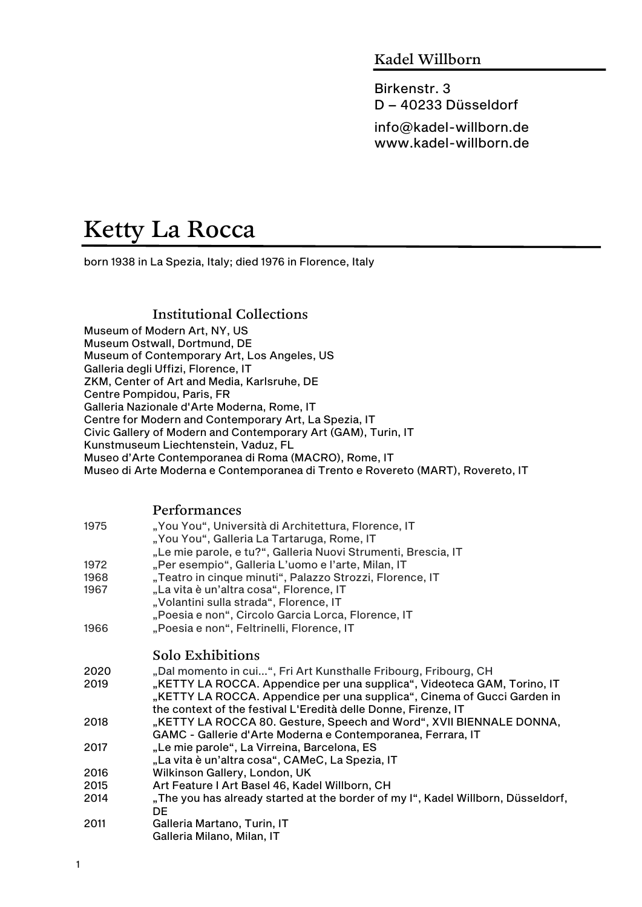## Kadel Willborn

Birkenstr. 3 D – 40233 Düsseldorf

info@kadel-willborn.de www.kadel-willborn.de

# Ketty La Rocca

born 1938 in La Spezia, Italy; died 1976 in Florence, Italy

### Institutional Collections

Museum of Modern Art, NY, US Museum Ostwall, Dortmund, DE Museum of Contemporary Art, Los Angeles, US Galleria degli Uffizi, Florence, IT ZKM, Center of Art and Media, Karlsruhe, DE Centre Pompidou, Paris, FR Galleria Nazionale d'Arte Moderna, Rome, IT Centre for Modern and Contemporary Art, La Spezia, IT Civic Gallery of Modern and Contemporary Art (GAM), Turin, IT Kunstmuseum Liechtenstein, Vaduz, FL Museo d'Arte Contemporanea di Roma (MACRO), Rome, IT Museo di Arte Moderna e Contemporanea di Trento e Rovereto (MART), Rovereto, IT

#### Performances

| 1975 | "You You", Università di Architettura, Florence, IT<br>"You You", Galleria La Tartaruga, Rome, IT |
|------|---------------------------------------------------------------------------------------------------|
|      | "Le mie parole, e tu?", Galleria Nuovi Strumenti, Brescia, IT                                     |
| 1972 | "Per esempio", Galleria L'uomo e l'arte, Milan, IT                                                |
| 1968 | "Teatro in cinque minuti", Palazzo Strozzi, Florence, IT                                          |
| 1967 | "La vita è un'altra cosa", Florence, IT                                                           |
|      | "Volantini sulla strada", Florence, IT                                                            |
|      | "Poesia e non", Circolo Garcia Lorca, Florence, IT                                                |
| 1966 | "Poesia e non", Feltrinelli, Florence, IT                                                         |
|      |                                                                                                   |
|      | Solo Exhibitions                                                                                  |
| 2020 | "Dal momento in cui", Fri Art Kunsthalle Fribourg, Fribourg, CH                                   |
| 2019 | "KETTY LA ROCCA. Appendice per una supplica", Videoteca GAM, Torino, IT                           |
|      | "KETTY LA ROCCA. Appendice per una supplica", Cinema of Gucci Garden in                           |
|      | the context of the festival L'Eredità delle Donne, Firenze, IT                                    |
| 2018 | "KETTY LA ROCCA 80. Gesture, Speech and Word", XVII BIENNALE DONNA,                               |
|      | GAMC - Gallerie d'Arte Moderna e Contemporanea, Ferrara, IT                                       |
| 2017 | "Le mie parole", La Virreina, Barcelona, ES                                                       |
|      | "La vita è un'altra cosa", CAMeC, La Spezia, IT                                                   |
| 2016 | Wilkinson Gallery, London, UK                                                                     |
| 2015 | Art Feature I Art Basel 46, Kadel Willborn, CH                                                    |
| 2014 | "The you has already started at the border of my I", Kadel Willborn, Düsseldorf,                  |
|      | <b>DE</b>                                                                                         |
| 2011 | Galleria Martano, Turin, IT                                                                       |
|      | Galleria Milano, Milan, IT                                                                        |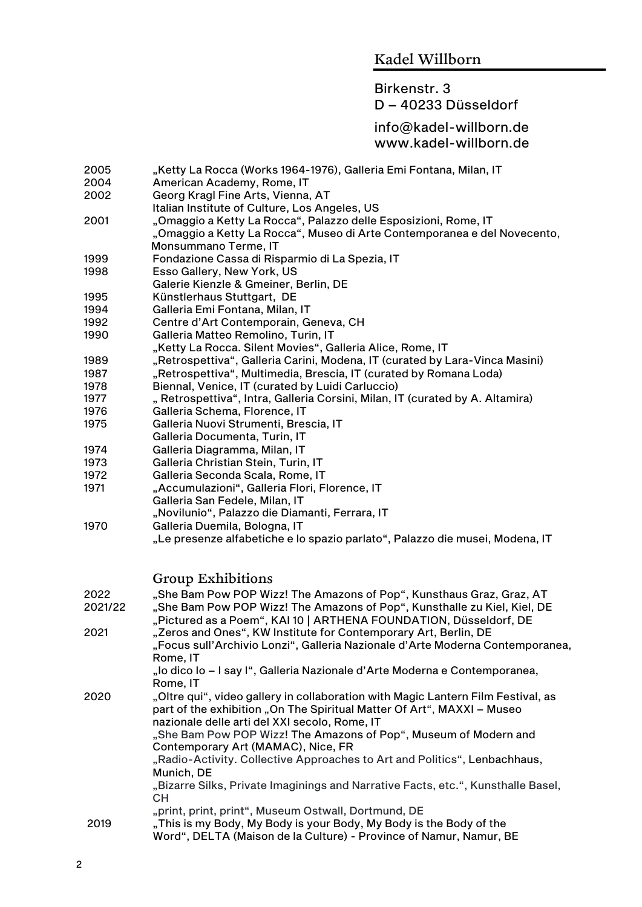#### Birkenstr. 3

#### D – 40233 Düsseldorf

#### info@kadel-willborn.de www.kadel-willborn.de

- 2005 "Ketty La Rocca (Works 1964-1976), Galleria Emi Fontana, Milan, IT
- 2004 American Academy, Rome, IT
- 2002 Georg Kragl Fine Arts, Vienna, AT
- Italian Institute of Culture, Los Angeles, US
- 2001 "Omaggio a Ketty La Rocca", Palazzo delle Esposizioni, Rome, IT "Omaggio a Ketty La Rocca", Museo di Arte Contemporanea e del Novecento,
- Monsummano Terme, IT<br>Fondazione Cassa di Ris 1999 Fondazione Cassa di Risparmio di La Spezia, IT
- 1998 Esso Gallery, New York, US
- Galerie Kienzle & Gmeiner, Berlin, DE
- 1995 Künstlerhaus Stuttgart, DE
- 1994 Galleria Emi Fontana, Milan, IT
- 1992 Centre d'Art Contemporain, Geneva, CH
- 1990 Galleria Matteo Remolino, Turin, IT
	- "Ketty La Rocca. Silent Movies", Galleria Alice, Rome, IT
- 1989 "Retrospettiva", Galleria Carini, Modena, IT (curated by Lara-Vinca Masini)
- 1987 "Retrospettiva", Multimedia, Brescia, IT (curated by Romana Loda)
- 1978 Biennal, Venice, IT (curated by Luidi Carluccio)
- 1977 , Retrospettiva", Intra, Galleria Corsini, Milan, IT (curated by A. Altamira)
- 1976 Galleria Schema, Florence, IT
- 1975 Galleria Nuovi Strumenti, Brescia, IT
- Galleria Documenta, Turin, IT
- 1974 Galleria Diagramma, Milan, IT
- 1973 Galleria Christian Stein, Turin, IT
- 1972 Galleria Seconda Scala, Rome, IT
- 1971 ,Accumulazioni", Galleria Flori, Florence, IT Galleria San Fedele, Milan, IT
- "Novilunio", Palazzo die Diamanti, Ferrara, IT
- 1970 Galleria Duemila, Bologna, IT
	- "Le presenze alfabetiche e lo spazio parlato", Palazzo die musei, Modena, IT

#### Group Exhibitions

| 2022<br>2021/22 | "She Bam Pow POP Wizz! The Amazons of Pop", Kunsthaus Graz, Graz, AT<br>"She Bam Pow POP Wizz! The Amazons of Pop", Kunsthalle zu Kiel, Kiel, DE<br>"Pictured as a Poem", KAI 10   ARTHENA FOUNDATION, Düsseldorf, DE |
|-----------------|-----------------------------------------------------------------------------------------------------------------------------------------------------------------------------------------------------------------------|
| 2021            | "Zeros and Ones", KW Institute for Contemporary Art, Berlin, DE<br>"Focus sull'Archivio Lonzi", Galleria Nazionale d'Arte Moderna Contemporanea,<br>Rome, IT                                                          |
|                 | "lo dico lo – I say I", Galleria Nazionale d'Arte Moderna e Contemporanea,<br>Rome, IT                                                                                                                                |
| 2020            | "Oltre qui", video gallery in collaboration with Magic Lantern Film Festival, as<br>part of the exhibition "On The Spiritual Matter Of Art", MAXXI – Museo<br>nazionale delle arti del XXI secolo, Rome, IT           |
|                 | "She Bam Pow POP Wizz! The Amazons of Pop", Museum of Modern and<br>Contemporary Art (MAMAC), Nice, FR                                                                                                                |
|                 | "Radio-Activity. Collective Approaches to Art and Politics", Lenbachhaus,<br>Munich, DE                                                                                                                               |
|                 | "Bizarre Silks, Private Imaginings and Narrative Facts, etc.", Kunsthalle Basel,<br>CН                                                                                                                                |
|                 | "print, print, print", Museum Ostwall, Dortmund, DE                                                                                                                                                                   |
| 2019            | "This is my Body, My Body is your Body, My Body is the Body of the                                                                                                                                                    |
|                 | Word", DELTA (Maison de la Culture) - Province of Namur, Namur, BE                                                                                                                                                    |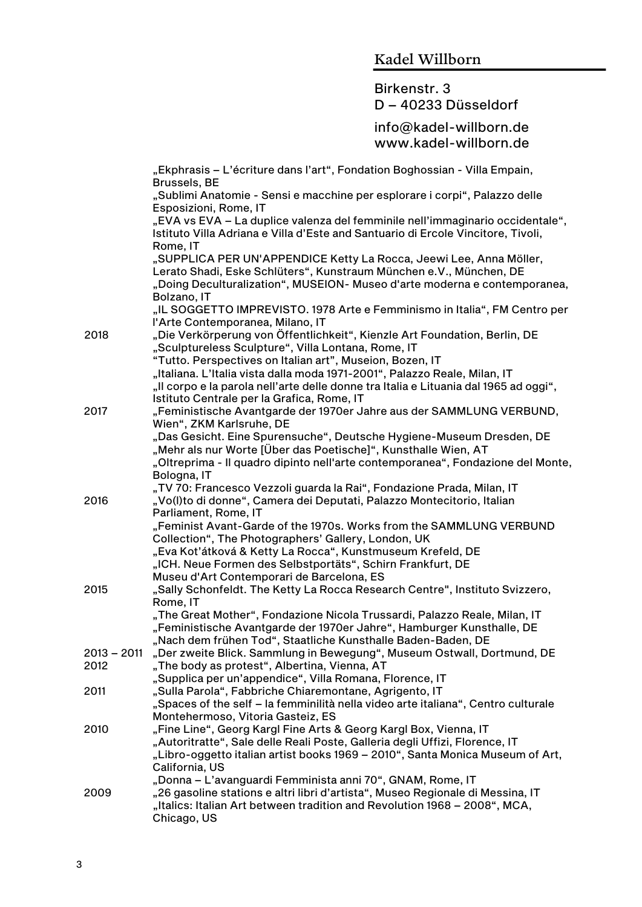# Birkenstr. 3

## D – 40233 Düsseldorf

|               | "Ekphrasis - L'écriture dans l'art", Fondation Boghossian - Villa Empain,                                                                                                  |
|---------------|----------------------------------------------------------------------------------------------------------------------------------------------------------------------------|
|               | <b>Brussels, BE</b><br>"Sublimi Anatomie - Sensi e macchine per esplorare i corpi", Palazzo delle<br>Esposizioni, Rome, IT                                                 |
|               | "EVA vs EVA - La duplice valenza del femminile nell'immaginario occidentale",<br>Istituto Villa Adriana e Villa d'Este and Santuario di Ercole Vincitore, Tivoli,          |
|               | Rome, IT<br>"SUPPLICA PER UN'APPENDICE Ketty La Rocca, Jeewi Lee, Anna Möller,<br>Lerato Shadi, Eske Schlüters", Kunstraum München e.V., München, DE                       |
|               | "Doing Deculturalization", MUSEION- Museo d'arte moderna e contemporanea,<br>Bolzano, IT                                                                                   |
|               | "IL SOGGETTO IMPREVISTO. 1978 Arte e Femminismo in Italia", FM Centro per<br>l'Arte Contemporanea, Milano, IT                                                              |
| 2018          | "Die Verkörperung von Öffentlichkeit", Kienzle Art Foundation, Berlin, DE<br>"Sculptureless Sculpture", Villa Lontana, Rome, IT                                            |
|               | "Tutto. Perspectives on Italian art", Museion, Bozen, IT<br>"Italiana. L'Italia vista dalla moda 1971-2001", Palazzo Reale, Milan, IT                                      |
|               | "Il corpo e la parola nell'arte delle donne tra Italia e Lituania dal 1965 ad oggi",<br>Istituto Centrale per la Grafica, Rome, IT                                         |
| 2017          | "Feministische Avantgarde der 1970er Jahre aus der SAMMLUNG VERBUND,<br>Wien", ZKM Karlsruhe, DE                                                                           |
|               | "Das Gesicht. Eine Spurensuche", Deutsche Hygiene-Museum Dresden, DE                                                                                                       |
|               | "Mehr als nur Worte [Über das Poetische]", Kunsthalle Wien, AT<br>"Oltreprima - Il quadro dipinto nell'arte contemporanea", Fondazione del Monte,                          |
|               | Bologna, IT                                                                                                                                                                |
| 2016          | "TV 70: Francesco Vezzoli guarda la Rai", Fondazione Prada, Milan, IT<br>"Vo(I)to di donne", Camera dei Deputati, Palazzo Montecitorio, Italian                            |
|               | Parliament, Rome, IT                                                                                                                                                       |
|               | "Feminist Avant-Garde of the 1970s. Works from the SAMMLUNG VERBUND<br>Collection", The Photographers' Gallery, London, UK                                                 |
|               | "Eva Kot'átková & Ketty La Rocca", Kunstmuseum Krefeld, DE                                                                                                                 |
|               | "ICH. Neue Formen des Selbstportäts", Schirn Frankfurt, DE                                                                                                                 |
| 2015          | Museu d'Art Contemporari de Barcelona, ES<br>"Sally Schonfeldt. The Ketty La Rocca Research Centre", Instituto Svizzero,<br>Rome, IT                                       |
|               | "The Great Mother", Fondazione Nicola Trussardi, Palazzo Reale, Milan, IT                                                                                                  |
|               | "Feministische Avantgarde der 1970er Jahre", Hamburger Kunsthalle, DE                                                                                                      |
| $2013 - 2011$ | "Nach dem frühen Tod", Staatliche Kunsthalle Baden-Baden, DE                                                                                                               |
| 2012          | "Der zweite Blick. Sammlung in Bewegung", Museum Ostwall, Dortmund, DE<br>"The body as protest", Albertina, Vienna, AT                                                     |
|               | "Supplica per un'appendice", Villa Romana, Florence, IT                                                                                                                    |
| 2011          | "Sulla Parola", Fabbriche Chiaremontane, Agrigento, IT                                                                                                                     |
|               | "Spaces of the self – la femminilità nella video arte italiana", Centro culturale                                                                                          |
| 2010          | Montehermoso, Vitoria Gasteiz, ES<br>"Fine Line", Georg Kargl Fine Arts & Georg Kargl Box, Vienna, IT                                                                      |
|               | "Autoritratte", Sale delle Reali Poste, Galleria degli Uffizi, Florence, IT                                                                                                |
|               | "Libro-oggetto italian artist books 1969 - 2010", Santa Monica Museum of Art,<br>California, US                                                                            |
|               | "Donna – L'avanguardi Femminista anni 70", GNAM, Rome, IT                                                                                                                  |
| 2009          | "26 gasoline stations e altri libri d'artista", Museo Regionale di Messina, IT<br>"Italics: Italian Art between tradition and Revolution 1968 - 2008", MCA,<br>Chicago, US |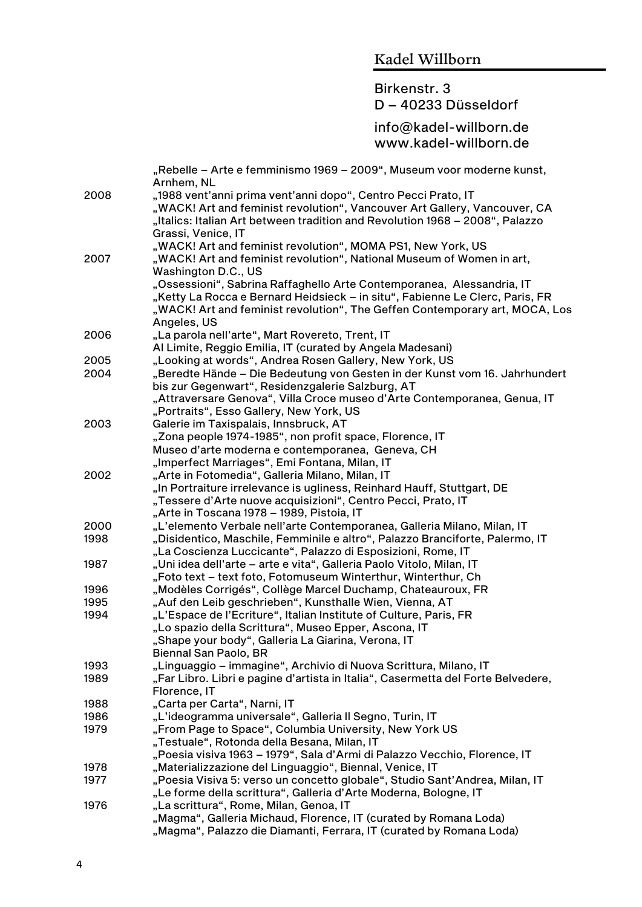#### Birkenstr. 3 D – 40233 Düsseldorf

|      | "Rebelle – Arte e femminismo 1969 – 2009", Museum voor moderne kunst,<br>Arnhem, NL          |
|------|----------------------------------------------------------------------------------------------|
| 2008 | "1988 vent'anni prima vent'anni dopo", Centro Pecci Prato, IT                                |
|      | "WACK! Art and feminist revolution", Vancouver Art Gallery, Vancouver, CA                    |
|      | "Italics: Italian Art between tradition and Revolution 1968 - 2008", Palazzo                 |
|      |                                                                                              |
|      | Grassi, Venice, IT                                                                           |
|      | "WACK! Art and feminist revolution", MOMA PS1, New York, US                                  |
| 2007 | "WACK! Art and feminist revolution", National Museum of Women in art,<br>Washington D.C., US |
|      | "Ossessioni", Sabrina Raffaghello Arte Contemporanea, Alessandria, IT                        |
|      | "Ketty La Rocca e Bernard Heidsieck – in situ", Fabienne Le Clerc, Paris, FR                 |
|      | "WACK! Art and feminist revolution", The Geffen Contemporary art, MOCA, Los                  |
|      | Angeles, US                                                                                  |
| 2006 | "La parola nell'arte", Mart Rovereto, Trent, IT                                              |
|      | Al Limite, Reggio Emilia, IT (curated by Angela Madesani)                                    |
| 2005 | "Looking at words", Andrea Rosen Gallery, New York, US                                       |
| 2004 | "Beredte Hände – Die Bedeutung von Gesten in der Kunst vom 16. Jahrhundert                   |
|      | bis zur Gegenwart", Residenzgalerie Salzburg, AT                                             |
|      | "Attraversare Genova", Villa Croce museo d'Arte Contemporanea, Genua, IT                     |
|      | "Portraits", Esso Gallery, New York, US                                                      |
| 2003 | Galerie im Taxispalais, Innsbruck, AT                                                        |
|      | "Zona people 1974-1985", non profit space, Florence, IT                                      |
|      | Museo d'arte moderna e contemporanea, Geneva, CH                                             |
|      | "Imperfect Marriages", Emi Fontana, Milan, IT                                                |
| 2002 | "Arte in Fotomedia", Galleria Milano, Milan, IT                                              |
|      | "In Portraiture irrelevance is ugliness, Reinhard Hauff, Stuttgart, DE                       |
|      | "Tessere d'Arte nuove acquisizioni", Centro Pecci, Prato, IT                                 |
|      | "Arte in Toscana 1978 – 1989, Pistoia, IT                                                    |
| 2000 | "L'elemento Verbale nell'arte Contemporanea, Galleria Milano, Milan, IT                      |
| 1998 | "Disidentico, Maschile, Femminile e altro", Palazzo Branciforte, Palermo, IT                 |
|      | "La Coscienza Luccicante", Palazzo di Esposizioni, Rome, IT                                  |
| 1987 | "Uni idea dell'arte – arte e vita", Galleria Paolo Vitolo, Milan, IT                         |
|      | "Foto text - text foto, Fotomuseum Winterthur, Winterthur, Ch                                |
| 1996 | "Modèles Corrigés", Collège Marcel Duchamp, Chateauroux, FR                                  |
| 1995 | "Auf den Leib geschrieben", Kunsthalle Wien, Vienna, AT                                      |
| 1994 | "L'Espace de l'Ecriture", Italian Institute of Culture, Paris, FR                            |
|      | "Lo spazio della Scrittura", Museo Epper, Ascona, IT                                         |
|      | "Shape your body", Galleria La Giarina, Verona, IT                                           |
|      | Biennal San Paolo, BR                                                                        |
| 1993 | "Linguaggio – immagine", Archivio di Nuova Scrittura, Milano, IT                             |
| 1989 | "Far Libro. Libri e pagine d'artista in Italia", Casermetta del Forte Belvedere,             |
|      | Florence, IT                                                                                 |
| 1988 | "Carta per Carta", Narni, IT                                                                 |
| 1986 | "L'ideogramma universale", Galleria Il Segno, Turin, IT                                      |
| 1979 | "From Page to Space", Columbia University, New York US                                       |
|      | "Testuale", Rotonda della Besana, Milan, IT                                                  |
|      | "Poesia visiva 1963 – 1979", Sala d'Armi di Palazzo Vecchio, Florence, IT                    |
| 1978 | "Materializzazione del Linguaggio", Biennal, Venice, IT                                      |
| 1977 | "Poesia Visiva 5: verso un concetto globale", Studio Sant'Andrea, Milan, IT                  |
|      | "Le forme della scrittura", Galleria d'Arte Moderna, Bologne, IT                             |
| 1976 | "La scrittura", Rome, Milan, Genoa, IT                                                       |
|      | "Magma", Galleria Michaud, Florence, IT (curated by Romana Loda)                             |
|      | "Magma", Palazzo die Diamanti, Ferrara, IT (curated by Romana Loda)                          |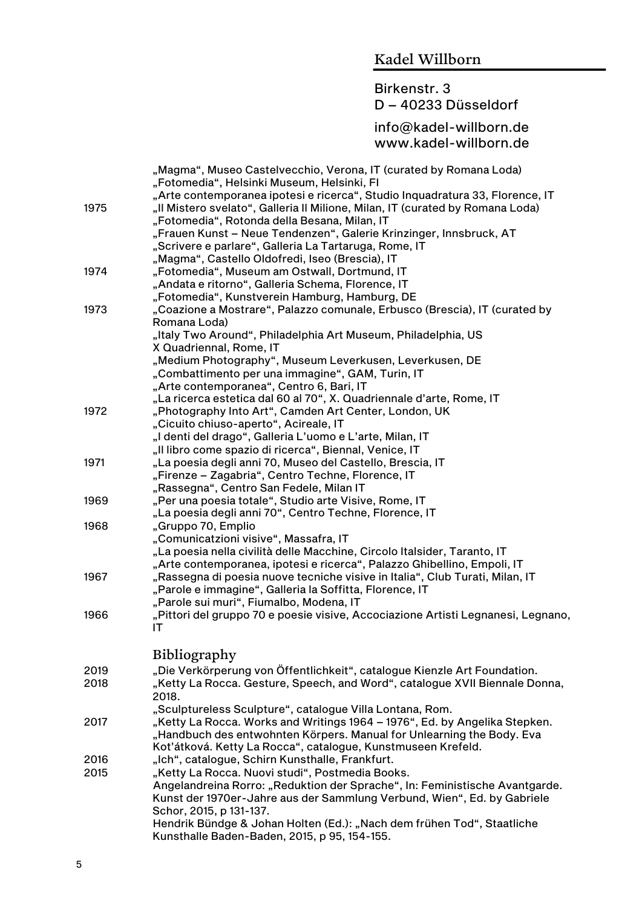#### Birkenstr. 3 D – 40233 Düsseldorf

|      | "Magma", Museo Castelvecchio, Verona, IT (curated by Romana Loda)<br>"Fotomedia", Helsinki Museum, Helsinki, Fl<br>"Arte contemporanea ipotesi e ricerca", Studio Inquadratura 33, Florence, IT |
|------|-------------------------------------------------------------------------------------------------------------------------------------------------------------------------------------------------|
| 1975 | "Il Mistero svelato", Galleria Il Milione, Milan, IT (curated by Romana Loda)                                                                                                                   |
|      | "Fotomedia", Rotonda della Besana, Milan, IT                                                                                                                                                    |
|      | "Frauen Kunst - Neue Tendenzen", Galerie Krinzinger, Innsbruck, AT                                                                                                                              |
|      | "Scrivere e parlare", Galleria La Tartaruga, Rome, IT                                                                                                                                           |
|      | "Magma", Castello Oldofredi, Iseo (Brescia), IT                                                                                                                                                 |
| 1974 | "Fotomedia", Museum am Ostwall, Dortmund, IT                                                                                                                                                    |
|      | "Andata e ritorno", Galleria Schema, Florence, IT                                                                                                                                               |
|      | "Fotomedia", Kunstverein Hamburg, Hamburg, DE                                                                                                                                                   |
| 1973 | "Coazione a Mostrare", Palazzo comunale, Erbusco (Brescia), IT (curated by                                                                                                                      |
|      | Romana Loda)                                                                                                                                                                                    |
|      | "Italy Two Around", Philadelphia Art Museum, Philadelphia, US                                                                                                                                   |
|      | X Quadriennal, Rome, IT<br>"Medium Photography", Museum Leverkusen, Leverkusen, DE                                                                                                              |
|      | "Combattimento per una immagine", GAM, Turin, IT                                                                                                                                                |
|      | "Arte contemporanea", Centro 6, Bari, IT                                                                                                                                                        |
|      | "La ricerca estetica dal 60 al 70", X. Quadriennale d'arte, Rome, IT                                                                                                                            |
| 1972 | "Photography Into Art", Camden Art Center, London, UK                                                                                                                                           |
|      | "Cicuito chiuso-aperto", Acireale, IT                                                                                                                                                           |
|      | "I denti del drago", Galleria L'uomo e L'arte, Milan, IT                                                                                                                                        |
|      | "Il libro come spazio di ricerca", Biennal, Venice, IT                                                                                                                                          |
| 1971 | "La poesia degli anni 70, Museo del Castello, Brescia, IT                                                                                                                                       |
|      | "Firenze - Zagabria", Centro Techne, Florence, IT                                                                                                                                               |
|      | "Rassegna", Centro San Fedele, Milan IT                                                                                                                                                         |
| 1969 | "Per una poesia totale", Studio arte Visive, Rome, IT                                                                                                                                           |
|      | "La poesia degli anni 70", Centro Techne, Florence, IT                                                                                                                                          |
| 1968 | "Gruppo 70, Emplio                                                                                                                                                                              |
|      | "Comunicatzioni visive", Massafra, IT                                                                                                                                                           |
|      | "La poesia nella civilità delle Macchine, Circolo Italsider, Taranto, IT                                                                                                                        |
|      | "Arte contemporanea, ipotesi e ricerca", Palazzo Ghibellino, Empoli, IT                                                                                                                         |
| 1967 | "Rassegna di poesia nuove tecniche visive in Italia", Club Turati, Milan, IT                                                                                                                    |
|      | "Parole e immagine", Galleria la Soffitta, Florence, IT                                                                                                                                         |
|      | "Parole sui muri", Fiumalbo, Modena, IT<br>"Pittori del gruppo 70 e poesie visive, Accociazione Artisti Legnanesi, Legnano,                                                                     |
| 1966 | IT                                                                                                                                                                                              |
|      |                                                                                                                                                                                                 |
|      | Bibliography                                                                                                                                                                                    |
| 2019 | "Die Verkörperung von Öffentlichkeit", catalogue Kienzle Art Foundation.                                                                                                                        |
| 2018 | "Ketty La Rocca. Gesture, Speech, and Word", catalogue XVII Biennale Donna,                                                                                                                     |
|      | 2018.                                                                                                                                                                                           |
|      | "Sculptureless Sculpture", catalogue Villa Lontana, Rom.                                                                                                                                        |
| 2017 | "Ketty La Rocca. Works and Writings 1964 – 1976", Ed. by Angelika Stepken.                                                                                                                      |
|      | "Handbuch des entwohnten Körpers. Manual for Unlearning the Body. Eva                                                                                                                           |
|      | Koťátková. Ketty La Rocca", catalogue, Kunstmuseen Krefeld.                                                                                                                                     |
| 2016 | "Ich", catalogue, Schirn Kunsthalle, Frankfurt.                                                                                                                                                 |
| 2015 | "Ketty La Rocca. Nuovi studi", Postmedia Books.                                                                                                                                                 |
|      | Angelandreina Rorro: "Reduktion der Sprache", In: Feministische Avantgarde.                                                                                                                     |
|      | Kunst der 1970er-Jahre aus der Sammlung Verbund, Wien", Ed. by Gabriele<br>Schor, 2015, p 131-137.                                                                                              |
|      | Hendrik Bündge & Johan Holten (Ed.): "Nach dem frühen Tod", Staatliche                                                                                                                          |
|      | Kunsthalle Baden-Baden, 2015, p 95, 154-155.                                                                                                                                                    |
|      |                                                                                                                                                                                                 |